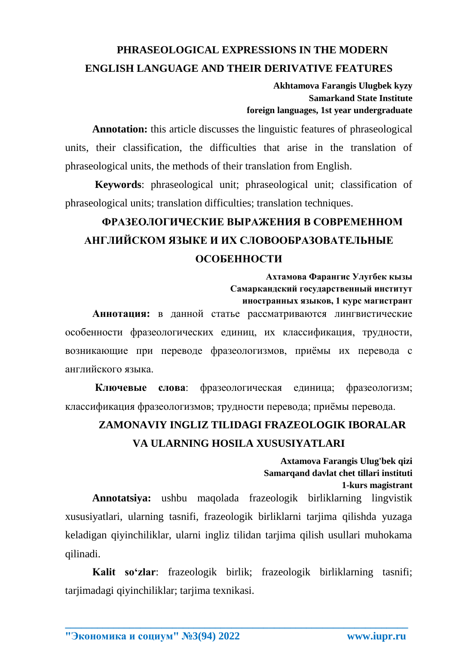## **PHRASEOLOGICAL EXPRESSIONS IN THE MODERN ENGLISH LANGUAGE AND THEIR DERIVATIVE FEATURES**

**Akhtamova Farangis Ulugbek kyzy Samarkand State Institute foreign languages, 1st year undergraduate**

**Annotation:** this article discusses the linguistic features of phraseological units, their classification, the difficulties that arise in the translation of phraseological units, the methods of their translation from English.

**Keywords**: phraseological unit; phraseological unit; classification of phraseological units; translation difficulties; translation techniques.

## **ФРАЗЕОЛОГИЧЕСКИЕ ВЫРАЖЕНИЯ В СОВРЕМЕННОМ АНГЛИЙСКОМ ЯЗЫКЕ И ИХ СЛОВООБРАЗОВАТЕЛЬНЫЕ ОСОБЕННОСТИ**

**Ахтамова Фарангис Улугбек кызы Самаркандский государственный институт иностранных языков, 1 курс магистрант**

**Аннотация:** в данной статье рассматриваются лингвистические особенности фразеологических единиц, их классификация, трудности, возникающие при переводе фразеологизмов, приёмы их перевода с английского языка.

**Ключевые слова**: фразеологическая единица; фразеологизм; классификация фразеологизмов; трудности перевода; приёмы перевода.

## **ZAMONAVIY INGLIZ TILIDAGI FRAZEOLOGIK IBORALAR VA ULARNING HOSILA XUSUSIYATLARI**

**Axtamova Farangis Ulug'bek qizi Samarqand davlat chet tillari instituti 1-kurs magistrant Annotatsiya:** ushbu maqolada frazeologik birliklarning lingvistik xususiyatlari, ularning tasnifi, frazeologik birliklarni tarjima qilishda yuzaga

keladigan qiyinchiliklar, ularni ingliz tilidan tarjima qilish usullari muhokama qilinadi.

**Kalit so'zlar**: frazeologik birlik; frazeologik birliklarning tasnifi; tarjimadagi qiyinchiliklar; tarjima texnikasi.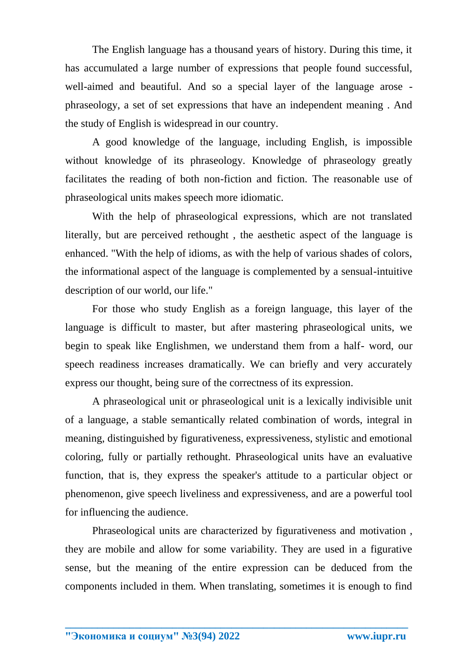The English language has a thousand years of history. During this time, it has accumulated a large number of expressions that people found successful, well-aimed and beautiful. And so a special layer of the language arose phraseology, a set of set expressions that have an independent meaning . And the study of English is widespread in our country.

A good knowledge of the language, including English, is impossible without knowledge of its phraseology. Knowledge of phraseology greatly facilitates the reading of both non-fiction and fiction. The reasonable use of phraseological units makes speech more idiomatic.

With the help of phraseological expressions, which are not translated literally, but are perceived rethought , the aesthetic aspect of the language is enhanced. "With the help of idioms, as with the help of various shades of colors, the informational aspect of the language is complemented by a sensual-intuitive description of our world, our life."

For those who study English as a foreign language, this layer of the language is difficult to master, but after mastering phraseological units, we begin to speak like Englishmen, we understand them from a half- word, our speech readiness increases dramatically. We can briefly and very accurately express our thought, being sure of the correctness of its expression.

A phraseological unit or phraseological unit is a lexically indivisible unit of a language, a stable semantically related combination of words, integral in meaning, distinguished by figurativeness, expressiveness, stylistic and emotional coloring, fully or partially rethought. Phraseological units have an evaluative function, that is, they express the speaker's attitude to a particular object or phenomenon, give speech liveliness and expressiveness, and are a powerful tool for influencing the audience.

Phraseological units are characterized by figurativeness and motivation , they are mobile and allow for some variability. They are used in a figurative sense, but the meaning of the entire expression can be deduced from the components included in them. When translating, sometimes it is enough to find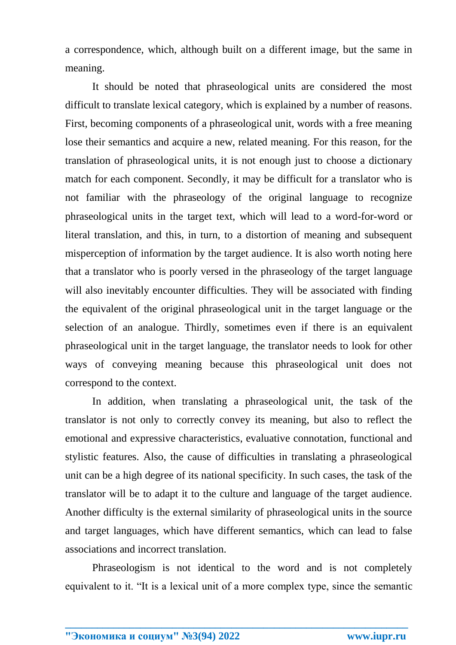a correspondence, which, although built on a different image, but the same in meaning.

It should be noted that phraseological units are considered the most difficult to translate lexical category, which is explained by a number of reasons. First, becoming components of a phraseological unit, words with a free meaning lose their semantics and acquire a new, related meaning. For this reason, for the translation of phraseological units, it is not enough just to choose a dictionary match for each component. Secondly, it may be difficult for a translator who is not familiar with the phraseology of the original language to recognize phraseological units in the target text, which will lead to a word-for-word or literal translation, and this, in turn, to a distortion of meaning and subsequent misperception of information by the target audience. It is also worth noting here that a translator who is poorly versed in the phraseology of the target language will also inevitably encounter difficulties. They will be associated with finding the equivalent of the original phraseological unit in the target language or the selection of an analogue. Thirdly, sometimes even if there is an equivalent phraseological unit in the target language, the translator needs to look for other ways of conveying meaning because this phraseological unit does not correspond to the context.

In addition, when translating a phraseological unit, the task of the translator is not only to correctly convey its meaning, but also to reflect the emotional and expressive characteristics, evaluative connotation, functional and stylistic features. Also, the cause of difficulties in translating a phraseological unit can be a high degree of its national specificity. In such cases, the task of the translator will be to adapt it to the culture and language of the target audience. Another difficulty is the external similarity of phraseological units in the source and target languages, which have different semantics, which can lead to false associations and incorrect translation.

Phraseologism is not identical to the word and is not completely equivalent to it. "It is a lexical unit of a more complex type, since the semantic